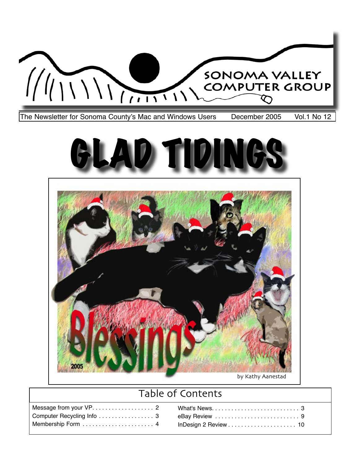

# Table of Contents

| Message from your VP. 2   |
|---------------------------|
| Computer Recycling Info 3 |
| Membership Form  4        |

| eBay Review  9 |  |
|----------------|--|
|                |  |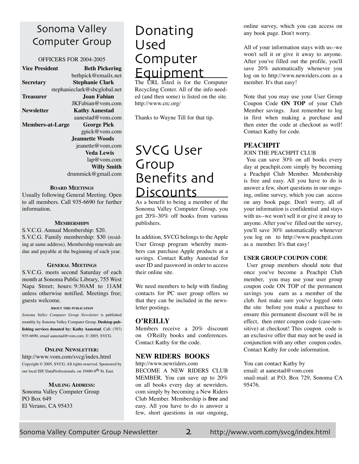# <span id="page-1-0"></span>Sonoma Valley Computer Group

#### OFFICERS FOR 2004-2005

| <b>Vice President</b>   | <b>Beth Pickering</b>        |
|-------------------------|------------------------------|
|                         | bethpick@emailx.net          |
| <b>Secretary</b>        | <b>Stephanie Clark</b>       |
|                         | stephanieclark@sbcglobal.net |
| 'I`reasurer             | Joan Fabian                  |
|                         | JKFabian@vom.com             |
| <b>Newsletter</b>       | <b>Kathy Aanestad</b>        |
|                         | aanestad@vom.com             |
|                         |                              |
| <b>Members-at-Large</b> | <b>George Pick</b>           |
|                         | gpick@vom.com                |
|                         | <b>Jeannette Woods</b>       |
|                         | jeanette@vom.com             |
|                         | Veda Lewis                   |
|                         | lap@vom.com                  |
|                         | <b>Willy Smith</b>           |
|                         | drummick@gmail.com           |

#### **Board Meetings**

Usually following General Meeting. Open to all members. Call 935-6690 for further information.

#### **Memberships**

S.V.C.G. Annual Membership: \$20. S.V.C.G. Family membership: \$30 (residing at same address). Membership renewals are due and payable at the beginning of each year.

#### **General Meetings**

S.V.C.G. meets second Saturday of each month at Sonoma Public Library, 755 West Napa Street; hours: 9:30AM to 11AM unless otherwise notified. Meetings free; guests welcome.

#### **About this publication**

*Sonoma Valley Computer Group Newsletter* is published monthly by Sonoma Valley Computer Group. **Desktop publishing services donated by: Kathy Aanestad**. Call: (707) 935-6690, email aanestad@vom.com. © 2005, SVCG.

#### **Online Newsletter:**

http://www.vom.com/svcg/index.html Copyright © 2005, SVCG. All rights reserved. Sponsored by our local ISP, DataProfessionals, on 19480-8<sup>th</sup> St. East.

#### **Mailing Address:**

Sonoma Valley Computer Group PO Box 649 El Verano, CA 95433

# Donating Used Computer Equipment

The URL listed is for the Computer Recycling Center. All of the info needed (and then some) is listed on the site. http://www.crc.org/

Thanks to Wayne Till for that tip.

# SVCG User Group Benefits and **Discounts**

As a benefit to being a member of the Sonoma Valley Computer Group, you get 20%-30% off books from various publishers.

In addition, SVCG belongs to the Apple User Group program whereby members can purchase Apple products at a savings. Contact Kathy Aanestad for user ID and password in order to access their online site.

We need members to help with finding contacts for PC user group offers so that they can be included in the newsletter postings.

#### **O'Reilly**

Members receive a 20% discount on O'Reilly books and conferences. Contact Kathy for the code.

#### **New Riders Books**

http://www.newriders.com BECOME A NEW RIDERS CLUB MEMBER. You can save up to 20% on all books every day at newriders. com simply by becoming a New Riders Club Member. Membership is **free** and easy. All you have to do is answer a few, short questions in our ongoing, online survey, which you can access on any book page. Don't worry.

All of your information stays with us--we won't sell it or give it away to anyone. After you've filled out the profile, you'll save 20% automatically whenever you log on to http://www.newriders.com as a member. It's that easy!

Note that you may use your User Group Coupon Code **ON TOP** of your Club Member savings. Just remember to log in first when making a purchase and then enter the code at checkout as well! Contact Kathy for code.

# **PEACHPIT**

#### JOIN THE PEACHPIT CLUB

You can save  $30\%$  on all books every day at peachpit.com simply by becoming a Peachpit Club Member. Membership is free and easy. All you have to do is answer a few, short questions in our ongoing, online survey, which you can access on any book page. Don't worry, all of your information is confidential and stays with us--we won't sell it or give it away to anyone. After you've filled out the survey, you'll save 30% automatically whenever you log on to http://www.peachpit.com as a member. It's that easy!

#### **USER GROUP COUPON CODE**

User group members should note that once you've become a Peachpit Club member, you may use your user group coupon code ON TOP of the permanent savings you earn as a member of the club. Just make sure you've logged onto the site before you make a purchase to ensure this permanent discount will be in effect, then enter coupon code (case-sensitive) at checkout! This coupon code is an exclusive offer that may not be used in conjunction with any other coupon codes. Contact Kathy for code information.

You can contact Kathy by email: at aanestad@vom.com snail-mail: at P.O. Box 729, Sonoma CA 95476.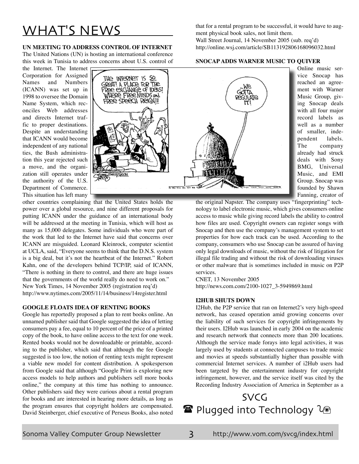# <span id="page-2-0"></span>WHAT'S NEWS

## **UN MEETING TO ADDRESS CONTROL OF INTERNET**

The United Nations (UN) is hosting an international conference this week in Tunisia to address concerns about U.S. control of

the Internet. The Internet Corporation for Assigned Names and Numbers (ICANN) was set up in 1998 to oversee the Domain Name System, which reconciles Web addresses and directs Internet traffic to proper destinations. Despite an understanding that ICANN would become independent of any national ties, the Bush administration this year rejected such a move, and the organization still operates under the authority of the U.S. Department of Commerce. This situation has left many



**SNOCAP ADDS WARNER MUSIC TO QUIVER** Online music service Snocap has reached an agreement with Warner Music Group, giving Snocap deals with all four major record labels as well as a number of smaller, independent labels. The company already had struck deals with Sony BMG, Universal Music, and EMI Group. Snocap was founded by Shawn Fanning, creator of

the original Napster. The company uses "fingerprinting" technology to label electronic music, which gives consumers online access to music while giving record labels the ability to control how files are used. Copyright owners can register songs with Snocap and then use the company's management system to set properties for how each track can be used. According to the company, consumers who use Snocap can be assured of having only legal downloads of music, without the risk of litigation for illegal file trading and without the risk of downloading viruses or other malware that is sometimes included in music on P2P services.

that for a rental program to be successful, it would have to aug-

ment physical book sales, not limit them.

Wall Street Journal, 14 November 2005 (sub. req'd) http://online.wsj.com/article/SB113192806168096032.html

CNET, 13 November 2005 http://news.com.com/2100-1027\_3-5949869.html

## **I2HUB SHUTS DOWN**

I2Hub, the P2P service that ran on Internet2's very high-speed network, has ceased operation amid growing concerns over the liability of such services for copyright infringements by their users. I2Hub was launched in early 2004 on the academic and research network that connects more than 200 locations. Although the service made forays into legal activities, it was largely used by students at connected campuses to trade music and movies at speeds substantially higher than possible with commercial Internet services. A number of i2Hub users had been targeted by the entertainment industry for copyright infringement, however, and the service itself was cited by the Recording Industry Association of America in September as a

# SVCG <sup>2</sup>Plugged into Technology 1<sup>®</sup>

other countries complaining that the United States holds the power over a global resource, and nine different proposals for putting ICANN under the guidance of an international body will be addressed at the meeting in Tunisia, which will host as many as 15,000 delegates. Some individuals who were part of the work that led to the Internet have said that concerns over ICANN are misguided. Leonard Kleinrock, computer scientist at UCLA, said, "Everyone seems to think that the D.N.S. system is a big deal, but it's not the heartbeat of the Internet." Robert Kahn, one of the developers behind TCP/IP, said of ICANN, "There is nothing in there to control, and there are huge issues that the governments of the world really do need to work on." New York Times, 14 November 2005 (registration req'd) http://www.nytimes.com/2005/11/14/business/14register.html

#### **GOOGLE FLOATS IDEA OF RENTING BOOKS**

Google has reportedly proposed a plan to rent books online. An unnamed publisher said that Google suggested the idea of letting consumers pay a fee, equal to 10 percent of the price of a printed copy of the book, to have online access to the text for one week. Rented books would not be downloadable or printable, according to the publisher, which said that although the fee Google suggested is too low, the notion of renting texts might represent a viable new model for content distribution. A spokesperson from Google said that although "Google Print is exploring new access models to help authors and publishers sell more books online," the company at this time has nothing to announce. Other publishers said they were curious about a rental program for books and are interested in hearing more details, as long as the program ensures that copyright holders are compensated. David Steinberger, chief executive of Perseus Books, also noted

Sonoma Valley Computer Group Newsletter 3 http://www.vom.com/svcg/index.html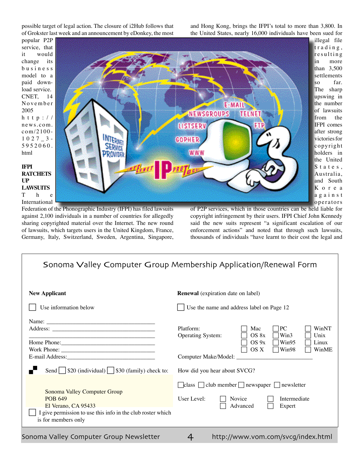<span id="page-3-0"></span>possible target of legal action. The closure of i2Hub follows that of Grokster last week and an announcement by eDonkey, the most and Hong Kong, brings the IFPI's total to more than 3,800. In the United States, nearly 16,000 individuals have been sued for

popular P2P service, that it would change its b u s i n e s s model to a paid download service. CNET, 14 N o v e m b e r 2005 h t t p :  $/ /$ n e w s . c o m . com/2100-  $1027 - 3$  -5 9 5 2 0 6 0 . html

**IFPI RATCHETS UP LAWSUITS** T h e International



illegal file  $\ln$  trading, resulting in more than 3,500 settlements so far. The sharp upswing in the number of lawsuits from the IFPI comes after strong victories for copyright holders in the United States, Australia, and South K o r e a a g a i n s t operators

Federation of the Phonographic Industry (IFPI) has filed lawsuits against 2,100 individuals in a number of countries for allegedly sharing copyrighted material over the Internet. The new round of lawsuits, which targets users in the United Kingdom, France, Germany, Italy, Switzerland, Sweden, Argentina, Singapore,

of P2P services, which in those countries can be held liable for copyright infringement by their users. IFPI Chief John Kennedy said the new suits represent "a significant escalation of our enforcement actions" and noted that through such lawsuits, thousands of individuals "have learnt to their cost the legal and

|                                                                                                                                                             | Sonoma Valley Computer Group Membership Application/Renewal Form                                                                                                       |  |  |  |  |
|-------------------------------------------------------------------------------------------------------------------------------------------------------------|------------------------------------------------------------------------------------------------------------------------------------------------------------------------|--|--|--|--|
| <b>New Applicant</b>                                                                                                                                        | <b>Renewal</b> (expiration date on label)                                                                                                                              |  |  |  |  |
| Use information below                                                                                                                                       | Use the name and address label on Page 12                                                                                                                              |  |  |  |  |
|                                                                                                                                                             | PC<br>Platform:<br>WinNT<br>Mac<br>OS 8x<br>Win3<br>Operating System:<br>Unix<br>OS 9x<br>Win95<br>Linux<br>OS X<br>Win98<br>WinME<br>Computer Make/Model: ___________ |  |  |  |  |
| Send $\sqrt{\$20 \text{ (individual)}\}\$ \\$30 (family) check to:                                                                                          | How did you hear about SVCG?                                                                                                                                           |  |  |  |  |
| Sonoma Valley Computer Group<br><b>POB 649</b><br>El Verano, CA 95433<br>I give permission to use this info in the club roster which<br>is for members only | class club member newspaper newsletter<br>User Level:<br>Novice<br>Intermediate<br>Advanced<br>Expert                                                                  |  |  |  |  |
| Sonoma Valley Computer Group Newsletter                                                                                                                     | http://www.vom.com/svcg/index.html<br>4                                                                                                                                |  |  |  |  |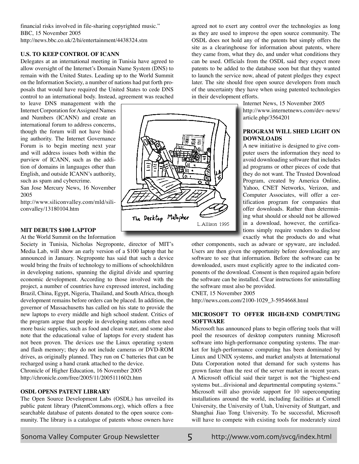financial risks involved in file-sharing copyrighted music." BBC, 15 November 2005 http://news.bbc.co.uk/2/hi/entertainment/4438324.stm

#### **U.S. TO KEEP CONTROL OF ICANN**

Delegates at an international meeting in Tunisia have agreed to allow oversight of the Internet's Domain Name System (DNS) to remain with the United States. Leading up to the World Summit on the Information Society, a number of nations had put forth proposals that would have required the United States to cede DNS control to an international body. Instead, agreement was reached

to leave DNS management with the Internet Corporation for Assigned Names and Numbers (ICANN) and create an international forum to address concerns, though the forum will not have binding authority. The Internet Governance Forum is to begin meeting next year and will address issues both within the purview of ICANN, such as the addition of domains in languages other than English, and outside ICANN's authority, such as spam and cybercrime.

San Jose Mercury News, 16 November 2005

http://www.siliconvalley.com/mld/siliconvalley/13180104.htm

## **MIT DEBUTS \$100 LAPTOP**

At the World Summit on the Information

Society in Tunisia, Nicholas Negroponte, director of MIT's Media Lab, will show an early version of a \$100 laptop that he announced in January. Negroponte has said that such a device would bring the fruits of technology to millions of schoolchildren in developing nations, spanning the digital divide and spurring economic development. According to those involved with the project, a number of countries have expressed interest, including Brazil, China, Egypt, Nigeria, Thailand, and South Africa, though development remains before orders can be placed. In addition, the governor of Massachusetts has called on his state to provide the new laptops to every middle and high school student. Critics of the program argue that people in developing nations often need more basic supplies, such as food and clean water, and some also note that the educational value of laptops for every student has not been proven. The devices use the Linux operating system and flash memory; they do not include cameras or DVD-ROM drives, as originally planned. They run on C batteries that can be recharged using a hand crank attached to the device.

Chronicle of Higher Education, 16 November 2005 http://chronicle.com/free/2005/11/2005111602t.htm

#### **OSDL OPENS PATENT LIBRARY**

The Open Source Development Labs (OSDL) has unveiled its public patent library (PatentCommons.org), which offers a free searchable database of patents donated to the open source community. The library is a catalogue of patents whose owners have agreed not to exert any control over the technologies as long as they are used to improve the open source community. The OSDL does not hold any of the patents but simply offers the site as a clearinghouse for information about patents, where they came from, what they do, and under what conditions they can be used. Officials from the OSDL said they expect more patents to be added to the database soon but that they wanted to launch the service now, ahead of patent pledges they expect later. The site should free open source developers from much of the uncertainty they have when using patented technologies in their development efforts.

> Internet News, 15 November 2005 http://www.internetnews.com/dev-news/ article.php/3564201

#### **PROGRAM WILL SHED LIGHT ON DOWNLOADS**

A new initiative is designed to give computer users the information they need to avoid downloading software that includes ad programs or other pieces of code that they do not want. The Trusted Download Program, created by America Online, Yahoo, CNET Networks, Verizon, and Computer Associates, will offer a certification program for companies that offer downloads. Rather than determining what should or should not be allowed in a download, however, the certifications simply require vendors to disclose exactly what the products do and what

other components, such as adware or spyware, are included. Users are then given the opportunity before downloading any software to see that information. Before the software can be downloaded, users must explicitly agree to the indicated components of the download. Consent is then required again before the software can be installed. Clear instructions for uninstalling the software must also be provided.

CNET, 15 November 2005

http://news.com.com/2100-1029\_3-5954668.html

## **MICROSOFT TO OFFER HIGH-END COMPUTING SOFTWARE**

Microsoft has announced plans to begin offering tools that will pool the resources of desktop computers running Microsoft software into high-performance computing systems. The market for high-performance computing has been dominated by Linux and UNIX systems, and market analysts at International Data Corporation noted that demand for such systems has grown faster than the rest of the server market in recent years. A Microsoft official said their target is not the "highest-end systems but...divisional and departmental computing systems." Microsoft will also provide support for 10 supercomputing installations around the world, including facilities at Cornell University, the University of Utah, University of Stuttgart, and Shanghai Jiao Tong University. To be successful, Microsoft will have to compete with existing tools for moderately sized

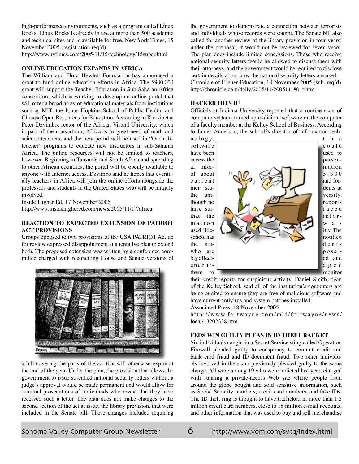high-performance environments, such as a program called Linux Rocks. Linux Rocks is already in use at more than 500 academic and technical sites and is available for free. New York Times, 15 November 2005 (registration req'd)

http://www.nytimes.com/2005/11/15/technology/15super.html

## **ONLINE EDUCATION EXPANDS IN AFRICA**

The William and Flora Hewlett Foundation has announced a grant to fund online education efforts in Africa. The \$900,000 grant will support the Teacher Education in Sub-Saharan Africa consortium, which is working to develop an online portal that will offer a broad array of educational materials from institutions such as MIT, the Johns Hopkins School of Public Health, and Chinese Open Resources for Education. According to Kuzvinetsa Peter Dzvimbo, rector of the African Virtual University, which is part of the consortium, Africa is in great need of math and science teachers, and the new portal will be used in "teach the teacher" programs to educate new instructors in sub-Saharan Africa. The online resources will not be limited to teachers, however. Beginning in Tanzania and South Africa and spreading to other African countries, the portal will be openly available to anyone with Internet access. Dzvimbo said he hopes that eventually teachers in Africa will join the online efforts alongside the professors and students in the United States who will be initially involved.

Inside Higher Ed, 17 November 2005

http://www.insidehighered.com/news/2005/11/17/africa

## **REACTION TO EXPECTED EXTENSION OF PATRIOT ACT PROVISIONS**

Groups opposed to two provisions of the USA PATRIOT Act up for review expressed disappointment at a tentative plan to extend both. The proposed extension was written by a conference committee charged with reconciling House and Senate versions of



a bill covering the parts of the act that will otherwise expire at the end of the year. Under the plan, the provision that allows the government to issue so-called national security letters without a judge's approval would be made permanent and would allow for criminal prosecutions of individuals who reveal that they have received such a letter. The plan does not make changes to the second section of the act at issue, the library provision, that were included in the Senate bill. Those changes included requiring the government to demonstrate a connection between terrorists and individuals whose records were sought. The Senate bill also called for another review of the library provision in four years; under the proposal, it would not be reviewed for seven years. The plan does include limited concessions. Those who receive national security letters would be allowed to discuss them with their attorneys, and the government would be required to disclose certain details about how the national security letters are used. Chronicle of Higher Education, 18 November 2005 (sub. req'd) http://chronicle.com/daily/2005/11/2005111801t.htm

#### **HACKER HITS IU**

Officials at Indiana University reported that a routine scan of computer systems turned up malicious software on the computer of a faculty member at the Kelley School of Business. According to James Anderson, the school?s director of information tech-



their credit reports for suspicious activity. Daniel Smith, dean of the Kelley School, said all of the institution's computers are being audited to ensure they are free of malicious software and have current antivirus and system patches installed.

Associated Press, 18 November 2005

http://www.fortwayne.com/mld/fortwayne/news/ local/13202338.htm

#### **FEDS WIN GUILTY PLEAS IN ID THEFT RACKET**

Six individuals caught in a Secret Service sting called Operation Firewall pleaded guilty to conspiracy to commit credit and bank card fraud and ID document fraud. Two other individuals involved in the scam previously pleaded guilty to the same charge. All were among 19 who were indicted last year, charged with running a private-access Web site where people from around the globe bought and sold sensitive information, such as Social Security numbers, credit card numbers, and fake IDs. The ID theft ring is thought to have trafficked in more than 1.5 million credit card numbers, close to 18 million e-mail accounts, and other information that was used to buy and sell merchandise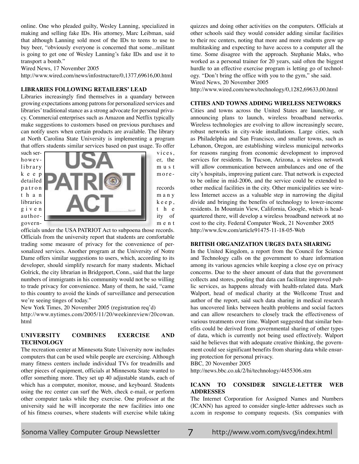online. One who pleaded guilty, Wesley Lanning, specialized in making and selling fake IDs. His attorney, Marc Leibman, said that although Lanning sold most of the IDs to teens to use to buy beer, "obviously everyone is concerned that some...militant is going to get one of Wesley Lanning's fake IDs and use it to transport a bomb."

Wired News, 17 November 2005

http://www.wired.com/news/infostructure/0,1377,69616,00.html

#### **LIBRARIES FOLLOWING RETAILERS' LEAD**

Libraries increasingly find themselves in a quandary between growing expectations among patronsfor personalized services and libraries' traditional stance as a strong advocate for personal privacy. Commercial enterprises such as Amazon and Netflix typically make suggestions to customers based on previous purchases and can notify users when certain products are available. The library at North Carolina State University is implementing a program that offers students similar services based on past usage. To offer

detailed



officials under the USA PATRIOT Act to subpoena those records. Officials from the university report that students are comfortable trading some measure of privacy for the convenience of personalized services. Another program at the University of Notre Dame offers similar suggestions to users, which, according to its developer, should simplify research for many students. Michael Golrick, the city librarian in Bridgeport, Conn., said that the large numbers of immigrants in his community would not be so willing to trade privacy for convenience. Many of them, he said, "came to this country to avoid the kinds of surveillance and persecution we're seeing tinges of today."

New York Times, 20 November 2005 (registration req'd)

http://www.nytimes.com/2005/11/20/weekinreview/20cowan. html

#### **UNIVERSITY COMBINES EXERCISE AND TECHNOLOGY**

The recreation center at Minnesota State University now includes computers that can be used while people are exercising. Although many fitness centers include individual TVs for treadmills and other pieces of equipment, officials at Minnesota State wanted to offer something more. They set up 40 adjustable stands, each of which has a computer, monitor, mouse, and keyboard. Students using the rec center can surf the Web, check e-mail, or perform other computer tasks while they exercise. One professor at the university said he will incorporate the new facilities into one of his fitness courses, where students will exercise while taking

quizzes and doing other activities on the computers. Officials at other schools said they would consider adding similar facilities to their rec centers, noting that more and more students grew up multitasking and expecting to have access to a computer all the time. Some disagree with the approach. Stephanie Maks, who worked as a personal trainer for 20 years, said often the biggest hurdle to an effective exercise program is letting go of technology. "Don't bring the office with you to the gym," she said. Wired News, 20 November 2005

http://www.wired.com/news/technology/0,1282,69633,00.html

#### **CITIES AND TOWNS ADDING WIRELESS NETWORKS**

Cities and towns across the United States are launching, or announcing plans to launch, wireless broadband networks. Wireless technologies are evolving to allow increasingly secure, robust networks in city-wide installations. Large cities, such as Philadelphia and San Francisco, and smaller towns, such as Lebanon, Oregon, are establishing wireless municipal networks for reasons ranging from economic development to improved services for residents. In Tucson, Arizona, a wireless network will allow communication between ambulances and one of the city's hospitals, improving patient care. That network is expected to be online in mid-2006, and the service could be extended to other medical facilities in the city. Other municipalities see wireless Internet access as a valuable step in narrowing the digital divide and bringing the benefits of technology to lower-income residents. In Mountain View, California, Google, which is headquartered there, will develop a wireless broadband network at no cost to the city. Federal Computer Week, 21 November 2005 http://www.fcw.com/article91475-11-18-05-Web

#### **BRITISH ORGANIZATION URGES DATA SHARING**

In the United Kingdom, a report from the Council for Science and Technology calls on the government to share information among its various agencies while keeping a close eye on privacy concerns. Due to the sheer amount of data that the government collects and stores, pooling that data can facilitate improved public services, as happens already with health-related data. Mark Walport, head of medical charity at the Wellcome Trust and author of the report, said such data sharing in medical research has uncovered links between health problems and social factors and can allow researchers to closely track the effectiveness of various treatments over time. Walport suggested that similar benefits could be derived from governmental sharing of other types of data, which is currently not being used effectively. Walport said he believes that with adequate creative thinking, the government could see significant benefits from sharing data while ensuring protection for personal privacy.

BBC, 20 November 2005

http://news.bbc.co.uk/2/hi/technology/4455306.stm

#### **ICANN TO CONSIDER SINGLE-LETTER WEB ADDRESSES**

The Internet Corporation for Assigned Names and Numbers (ICANN) has agreed to consider single-letter addresses such as a.com in response to company requests. (Six companies with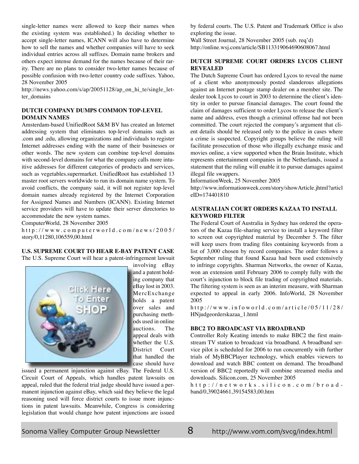single-letter names were allowed to keep their names when the existing system was established.) In deciding whether to accept single-letter names, ICANN will also have to determine how to sell the names and whether companies will have to seek individual entries across all suffixes. Domain name brokers and others expect intense demand for the names because of their rarity. There are no plans to consider two-letter names because of possible confusion with two-letter country code suffixes. Yahoo, 28 November 2005

http://news.yahoo.com/s/ap/20051128/ap\_on\_hi\_te/single\_letter domains

## **DUTCH COMPANY DUMPS COMMON TOP-LEVEL DOMAIN NAMES**

Amsterdam-based UnifiedRoot S&M BV has created an Internet addressing system that eliminates top-level domains such as .com and .edu, allowing organizations and individuals to register Internet addresses ending with the name of their businesses or other words. The new system can combine top-level domains with second-level domains for what the company calls more intuitive addresses for different categories of products and services, such as vegetables.supermarket. UnifiedRoot has established 13 master root servers worldwide to run its domain name system. To avoid conflicts, the company said, it will not register top-level domain names already registered by the Internet Corporation for Assigned Names and Numbers (ICANN). Existing Internet service providers will have to update their server directories to accommodate the new system names.

ComputerWorld, 28 November 2005

http://www.computerworld.com/news/2005/ story/0,11280,106559,00.html

# **U.S. SUPREME COURT TO HEAR E-BAY PATENT CASE**

The U.S. Supreme Court will hear a patent-infringement lawsuit



and a patent holding company that eBay lost in 2003. MercExchange holds a patent over sales and purchasing methods used in online auctions. The appeal deals with whether the U.S. District Court that handled the case should have

issued a permanent injunction against eBay. The Federal U.S. Circuit Court of Appeals, which handles patent lawsuits on appeal, ruled that the federal trial judge should have issued a permanent injunction against eBay, which said they believe the legal reasoning used will force district courts to issue more injunctions in patent lawsuits. Meanwhile, Congress is considering legislation that would change how patent injunctions are issued

by federal courts. The U.S. Patent and Trademark Office is also exploring the issue.

Wall Street Journal, 28 November 2005 (sub. req'd) http://online.wsj.com/article/SB113319064690608067.html

## **DUTCH SUPREME COURT ORDERS LYCOS CLIENT REVEALED**

The Dutch Supreme Court has ordered Lycos to reveal the name of a client who anonymously posted slanderous allegations against an Internet postage stamp dealer on a member site. The dealer took Lycos to court in 2003 to determine the client's identity in order to pursue financial damages. The court found the claim of damages sufficient to order Lycos to release the client's name and address, even though a criminal offense had not been committed. The court rejected the company's argument that client details should be released only to the police in cases where a crime is suspected. Copyright groups believe the ruling will facilitate prosecution of those who illegally exchange music and movies online, a view supported when the Brain Institute, which represents entertainment companies in the Netherlands, issued a statement that the ruling will enable it to pursue damages against illegal file swappers.

InformationWeek, 25 November 2005

http://www.informationweek.com/story/showArticle.jhtml?articl eID=174401810

## **AUSTRALIAN COURT ORDERS KAZAA TO INSTALL KEYWORD FILTER**

The Federal Court of Australia in Sydney has ordered the operators of the Kazaa file-sharing service to install a keyword filter to screen out copyrighted material by December 5. The filter will keep users from trading files containing keywords from a list of 3,000 chosen by record companies. The order follows a September ruling that found Kazaa had been used extensively to infringe copyrights. Sharman Networks, the owner of Kazaa, won an extension until February 2006 to comply fully with the court's injunction to block file trading of copyrighted materials. The filtering system is seen as an interim measure, with Sharman expected to appeal in early 2006. InfoWorld, 28 November 2005

http://www.infoworld.com/article/05/11/28/ HNjudgeorderskazaa\_1.html

## **BBC2 TO BROADCAST VIA BROADBAND**

Controller Roly Keating intends to make BBC2 the first mainstream TV station to broadcast via broadband. A broadband service pilot is scheduled for 2006 to run concurrently with further trials of MyBBCPlayer technology, which enables viewers to download and watch BBC content on demand. The broadband version of BBC2 reportedly will combine streamed media and downloads. Silicon.com, 25 November 2005

 $h$ ttp://networks.silicon.com/broadband/0,39024661,39154583,00.htm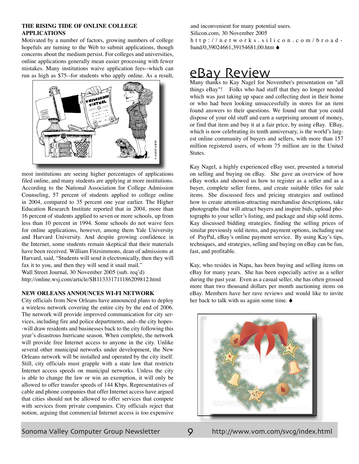## <span id="page-8-0"></span>**THE RISING TIDE OF ONLINE COLLEGE APPLICATIONS**

Motivated by a number of factors, growing numbers of college hopefuls are turning to the Web to submit applications, though concerns about the medium persist. For colleges and universities, online applications generally mean easier processing with fewer mistakes. Many institutions waive application fees--which can run as high as \$75--for students who apply online. As a result,



most institutions are seeing higher percentages of applications filed online, and many students are applying at more institutions. According to the National Association for College Admission Counseling, 57 percent of students applied to college online in 2004, compared to 35 percent one year earlier. The Higher Education Research Institute reported that in 2004, more than 16 percent of students applied to seven or more schools, up from less than 10 percent in 1994. Some schools do not waive fees for online applications, however, among them Yale University and Harvard University. And despite growing confidence in the Internet, some students remain skeptical that their materials have been received. William Fitzsimmons, dean of admissions at Harvard, said, "Students will send it electronically, then they will fax it to you, and then they will send it snail mail." Wall Street Journal, 30 November 2005 (sub. req'd) http://online.wsj.com/article/SB113331711186209812.html

## **NEW ORLEANS ANNOUNCES WI-FI NETWORK**

City officials from New Orleans have announced plans to deploy a wireless network covering the entire city by the end of 2006. The network will provide improved communication for city services, including fire and police departments, and--the city hopes- -will draw residents and businesses back to the city following this year's disastrous hurricane season. When complete, the network will provide free Internet access to anyone in the city. Unlike several other municipal networks under development, the New Orleans network will be installed and operated by the city itself. Still, city officials must grapple with a state law that restricts Internet access speeds on municipal networks. Unless the city is able to change the law or win an exemption, it will only be allowed to offer transfer speeds of 144 Kbps. Representatives of cable and phone companies that offer Internet access have argued that cities should not be allowed to offer services that compete with services from private companies. City officials reject that notion, arguing that commercial Internet access is too expensive and inconvenient for many potential users. Silicon.com, 30 November 2005  $h$  t t p :  $//$  n e t w o r k s . s i l i c o n . c o m  $/$  b r o a d band/0,39024661,39154681,00.htm  $\bullet$ 

# eBay Review

Many thanks to Kay Nagel for November's presentation on "all things eBay"! Folks who had stuff that they no longer needed which was just taking up space and collecting dust in their home or who had been looking unsuccessfully in stores for an item found answers to their questions. We found out that you could dispose of your old stuff and earn a surprising amount of money, or find that item and buy it at a fair price, by using eBay. EBay, which is now celebrating its tenth anniversary, is the world's largest online community of buyers and sellers, with more than 157 million registered users, of whom 75 million are in the United States.

Kay Nagel, a highly experienced eBay user, presented a tutorial on selling and buying on eBay. She gave an overview of how eBay works and showed us how to register as a seller and as a buyer, complete seller forms, and create suitable titles for sale items. She discussed fees and pricing strategies and outlined how to create attention-attracting merchandise descriptions, take photographs that will attract buyers and inspire bids, upload photographs to your seller's listing, and package and ship sold items. Kay discussed bidding strategies, finding the selling prices of similar previously sold items, and payment options, including use of PayPal, eBay's online payment service. By using Kay's tips, techniques, and strategies, selling and buying on eBay can be fun, fast, and profitable.

Kay, who resides in Napa, has been buying and selling items on eBay for many years. She has been especially active as a seller during the past year. Even as a casual seller, she has often grossed more than two thousand dollars per month auctioning items on eBay. Members have her rave reviews and would like to invite her back to talk with us again some time.  $\bullet$ 

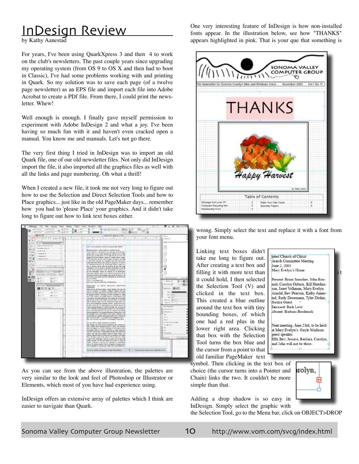# <span id="page-9-0"></span>InDesign Review

For years, I've been using QuarkXpress 3 and then 4 to work on the club's newsletters. The past couple years since upgrading my operating system (from OS 9 to OS X and then had to boot in Classic), I've had some problems working with and printing in Quark. So my solution was to save each page (of a twelve page newsletter) as an EPS file and import each file into Adobe Acrobat to create a PDf file. From there, I could print the newsletter. Whew!

Well enough is enough. I finally gave myself permission to experiment with Adobe InDesign 2 and what a joy. I've been having so much fun with it and haven't even cracked open a manual. You know me and manuals. Let's not go there.

The very first thing I tried in InDesign was to import an old Quark file, one of our old newsletter files. Not only did InDesign import the file, it also imported all the graphics files as well with all the links and page numbering. Oh what a thrill!

When I created a new file, it took me not very long to figure out how to use the Selection and Direct Selection Tools and how to Place graphics... just like in the old PageMaker days... remember how you had to 'please Place' your graphics. And it didn't take long to figure out how to link text boxes either.

| <b>SR 57 39</b>                   | Desirout.com @ 1119                                                                                                                   | N <sub>ame</sub>                                  |
|-----------------------------------|---------------------------------------------------------------------------------------------------------------------------------------|---------------------------------------------------|
| matter. 7<br>VTV                  | 5 per celestrative in contrative and the contract of the contract of the contract of the                                              | A distance                                        |
| $-0.1$                            |                                                                                                                                       | m<br>×                                            |
| April one that the kid can-<br>и  | hip incorporation and constitution in plant ball in                                                                                   | <b>COLOR</b><br><b>E</b>                          |
| <b>KURSINARIN</b>                 | <b>NORTHWEST AREA FROM THE TWO AND</b>                                                                                                | ×                                                 |
| sados di<br>Pt Ru                 | A new indicates in inclusive at a statements bear the follow                                                                          | ×                                                 |
| <b>HANNA</b><br>(3) W             | botte feet over to president subsets subset that curioded<br>all projected on orders players of cold. But this dis its start than The | ×                                                 |
| <b>Industries</b> of              | Texand Christmas, Resonal, Library 91 (Classica Christ, Talbert)                                                                      | ٠                                                 |
| <b>NAMES OF GROOM</b><br>$^{16}$  | FIRT Weeds, Writer, and Corporate Automatics, 4:3 (Max                                                                                | ÷<br>i e                                          |
|                                   | A halfinities singless for company. But only detected.<br>Easter skal detroiting shar award or closed out to alarmed                  | ٠                                                 |
|                                   | in a direction business the interferences model student trac-                                                                         |                                                   |
| 10181-112 BLVC 27                 | line in during specie what he product do not viter what<br>missions, such a wines or govern collections (Tom de)                      | ٠                                                 |
|                                   | the article reportion follow-tradement and rate of                                                                                    |                                                   |
| 小心<br>Louisia Edmonton            | or for internation. Select the actions can be determined<br>sen associations aged in the delivery companies of the                    |                                                   |
| 留文<br>phistat isto<br><b>BEEF</b> | president. Concert is laint inquired apoin include the politician card                                                                |                                                   |
| ● 項<br>$26.7 - 1$<br>÷<br>Ers     | by provided. Clevel maker sings for collections the authority hind.                                                                   | <b>Theater at Lit career</b>                      |
|                                   | <b>Aller De Grandezi</b><br>(SIF) LA Remember (1995)                                                                                  |                                                   |
| $2.4 +$<br>$-1 - 1$               | Man Service Alexander Follo Art W. L. Whatson and                                                                                     | <b>British</b>                                    |
| Artist Most                       | <b>RESOURCE TO WITHE WORLDVD COMPUTIVE</b>                                                                                            | Michael (B)                                       |
| エリエ<br>出り                         | <b>VIETSURE</b>                                                                                                                       | EEHD<br>Northeast                                 |
|                                   | Market the assessed than it loud offered told that the<br>and the steamed of deletes company receive abouting                         |                                                   |
| HE-2 HH<br>$-111$                 | offices in this action on mexico since To acts!                                                                                       |                                                   |
| $-114$<br>8-1-1-1                 | The State profits between a companying law days discussions in 1 pens.                                                                | <b>Basic Education</b>                            |
|                                   | and 1702 crains, and southe analysis of bostomized floor<br>I determined contribute beneated for stark in station last govern formal  | that I do not                                     |
| <b>MARINE</b><br>man.             | has the post of the center as more to three times. A bicompany                                                                        | <b>Castleton of China</b>                         |
| - 7                               | (this ad to a print his term of reasons)<br>const and depressing instanting restors. "Indians of will star                            | War Part John                                     |
|                                   | arrests cannot be 10 supercompanies involvement and for                                                                               |                                                   |
| Christiene mee                    | Predi, Jeldesona Rankinsi di Listua) Lacreagh: Na Lincolnier al<br>TAN. I reserved un'interacto and fibrogical first View Educations  | U dochtengende                                    |
|                                   | to be constrainted. Measured with basis as crosseds with containing                                                                   | George Fran                                       |
|                                   | will be summoned sized bush preferationen niversitations, recall                                                                      | Deletak en                                        |
|                                   | a a present cated Lines Such, Lines Early a newart is not<br>In paint than 2-5 products and subscription about that in the local band |                                                   |
|                                   | boot, hand from Figure 10. Economist Edit chapments buy at                                                                            | m                                                 |
|                                   | MacTerman entirely man PMTM in 1999 Banker Brand Cheronic broad                                                                       | <b>Security</b>                                   |
|                                   | THE BUILDING FORM TODAY FOR APPROX.                                                                                                   | Says Suite Millers All as Audio                   |
|                                   | les William and Pade Zinniets Preselation bet assistanted at<br>prior in front solars adoption officies in Adding. The directions     | <b><i>LEARN FOR</i></b>                           |
|                                   | plan will appear the Therapy Streetbe to Astuliated Afford                                                                            | m                                                 |
|                                   | consistency, which is welders of determining in college works that                                                                    | $\sim$                                            |
|                                   | will allot collected place of concerning insertials were particularly<br>and a tell the bike Thebie Island of Roby Seats, and         | ford least few                                    |
|                                   | I level as Transit Alexandria Pet Lides Fred. As a termed in Alexanders'                                                              |                                                   |
|                                   | Fort Prichake, since of the Almost Threat University Wards<br>in past of the classroom, ridical is in costs were of both and          | <b>COLLANS</b><br><b>Red And Address 11 to 13</b> |
|                                   | prices during, last be now point will be used in fixed; lat                                                                           |                                                   |
|                                   | inaded allowance to village are buyers to reliable of                                                                                 |                                                   |
|                                   | Edmin The subsciousness million in beautiful waters are:<br>For Accords in Second per Lock (Shirt and America of                      |                                                   |
|                                   | Science Valley Sorgiuler Group Hexchitect                                                                                             | FOR OWNER HARLESTOWE & EARL STAT                  |

As you can see from the above illustration, the palettes are very similar to the look and feel of Photoshop or Illustrator or Elements, which most of you have had experience using.

InDesign offers an extensive array of palettes which I think are easier to navigate than Quark.

One very interesting feature of InDesign is how non-installed fonts appear. In the illustration below, see how "THANKS" appears highlighted in pink. That is your que that something is



wrong. Simply select the text and replace it with a font from your font menu.

Linking text boxes didn't take me long to figure out. After creating a text box and filling it with more text than  $\Big|\Big|$  Mary Evelyn's Home it could hold, I then selected the Selection Tool (V) and clicked in the text box. This created a blue outline around the text box with tiny bounding boxes, of which one had a red plus in the lower right area. Clicking that box with the Selection Tool turns the box blue and the cursor from a point to that old familiar PageMaker text



symbol. Then clicking in the text box of choice (the cursor turns into a Pointer and Chain) links the two. It couldn't be more simple than that.

Adding a drop shadow is so easy in InDesign. Simply select the graphic with

the Selection Tool, go to the Menu bar, click on OBJECT>DROP

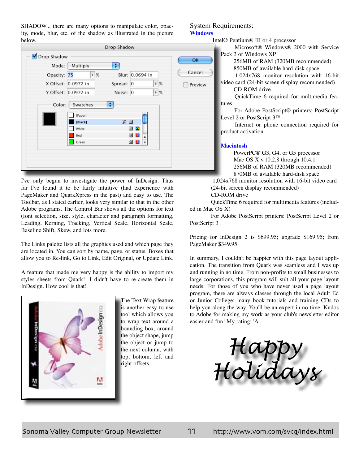SHADOW... there are many options to manipulate color, opacity, mode, blur, etc. of the shadow as illustrated in the picture below.

|             |                                                         | Drop Shadow   |                                               |   |         |
|-------------|---------------------------------------------------------|---------------|-----------------------------------------------|---|---------|
| Drop Shadow |                                                         |               |                                               |   | OK      |
|             | Mode: Multiply                                          | ÷             |                                               |   |         |
| Opacity: 75 | $ 8 $ %                                                 |               | Blur: 0.0694 in                               |   | Cancel  |
|             | X Offset: 0.0972 in                                     | Spread: 0     |                                               | 8 | Preview |
|             | Y Offset: 0.0972 in                                     | Noise: 0      |                                               | 8 |         |
| Color:      | Swatches<br>[Paper]<br>[Black]<br>White<br>Red<br>Green | ÷<br>$\times$ | <b>X</b><br>$\circ$ 1<br>$\circ$ $\mathsf{r}$ |   |         |

I've only begun to investigate the power of InDesign. Thus far I've found it to be fairly intuitive (had experience with PageMaker and QuarkXpress in the past) and easy to use. The Toolbar, as I stated earlier, looks very similar to that in the other Adobe programs. The Control Bar shows all the options for text (font selection, size, style, character and paragraph formatting, Leading, Kerning, Tracking, Vertical Scale, Horizontal Scale, Baseline Shift, Skew, and lots more.

The Links palette lists all the graphics used and which page they are located in. You can sort by name, page, or status. Boxes that allow you to Re-link, Go to Link, Edit Original, or Update Link.

A feature that made me very happy is the ability to import my styles sheets from Quark!! I didn't have to re-create them in InDesign. How cool is that!



The Text Wrap feature is another easy to use tool which allows you to wrap text around a bounding box, around the object shape, jump the object or jump to the next column, with top, bottom, left and right offsets.

# System Requirements: **Windows**

Intel® Pentium® III or 4 processor

- Microsoft® Windows® 2000 with Service Pack 3 or Windows XP
	- 256MB of RAM (320MB recommended) 850MB of available hard-disk space
	- 1,024x768 monitor resolution with 16-bit
- video card (24-bit screen display recommended) CD-ROM drive

 QuickTime 6 required for multimedia features

 For Adobe PostScript® printers: PostScript Level 2 or PostScript 3™

 Internet or phone connection required for product activation

## **Macintosh**

 PowerPC® G3, G4, or G5 processor Mac OS X v.10.2.8 through 10.4.1 256MB of RAM (320MB recommended) 870MB of available hard-disk space

 1,024x768 monitor resolution with 16-bit video card (24-bit screen display recommended)

CD-ROM drive

 QuickTime 6 required for multimedia features (included in Mac OS X)

 For Adobe PostScript printers: PostScript Level 2 or PostScript 3

Pricing for InDesign 2 is \$699.95; upgrade \$169.95; from PageMaker \$349.95.

In summary, I couldn't be happier with this page layout application. The transition from Quark was seamless and I was up and running in no time. From non-profits to small businesses to large corporations, this program will suit all your page layout needs. For those of you who have never used a page layout program, there are always classes through the local Adult Ed or Junior College; many book tutorials and training CDs to help you along the way. You'll be an expert in no time. Kudos to Adobe for making my work as your club's newsletter editor easier and fun! My rating: 'A'.